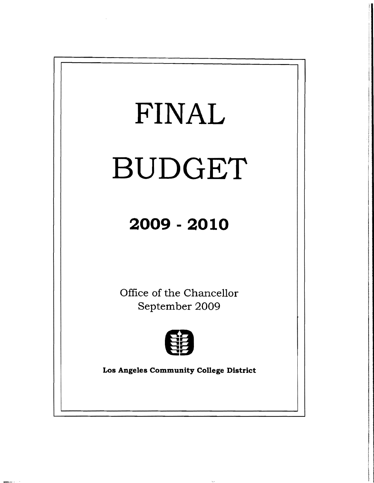

**HERE**  $\alpha$  and  $\beta$  and  $\beta$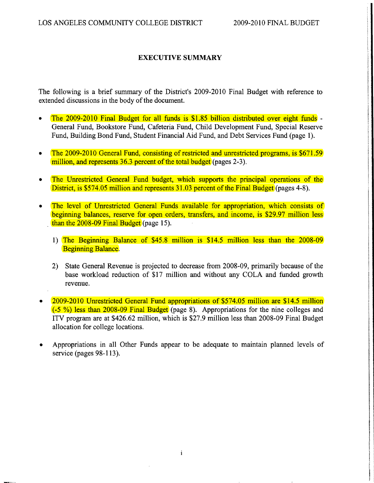## EXECUTIVE SUMMARY

The following is a brief summary of the District's 2009-2010 Final Budget with reference to extended discussions in the body of the document.

- The 2009-2010 Final Budget for all funds is \$1.85 billion distributed over eight funds -General Fund, Bookstore Fund, Cafeteria Fund, Child Development Fund, Special Reserve Fund, Building Bond Fund, Student Financial Aid Fund, and Debt Services Fund (page 1).
- The 2009-2010 General Fund, consisting of restricted and unrestricted programs, is \$671.59 million, and represents 36.3 percent of the total budget (pages 2-3).
- The Unrestricted General Fund budget, which supports the principal operations of the District, is \$574.05 million and represents 31.03 percent of the Final Budget (pages 4-8).
- The level of Unrestricted General Funds available for appropriation, which consists of beginning balances, reserve for open orders, transfers, and income, is \$29.97 million less than the 2008-09 Final Budget (page 15).
	- 1) The Beginning Balance of \$45.8 million is \$14.5 million less than the 2008-09 Beginning Balance.
	- 2) State General Revenue is projected to decrease from 2008-09, primarily because of the base workload reduction of \$17 million and without any COLA and funded growth revenue.
- 2009-2010 Unrestricted General Fund appropriations of \$574.05 million are \$14.5 million (-5 %) less than 2008-09 Final Budget (page 8). Appropriations for the nine colleges and lTV program are at \$426.62 million, which is \$27.9 million less than 2008-09 Final Budget allocation for college locations.
- Appropriations in all Other Funds appear to be adequate to maintain planned levels of service (pages 98-113).